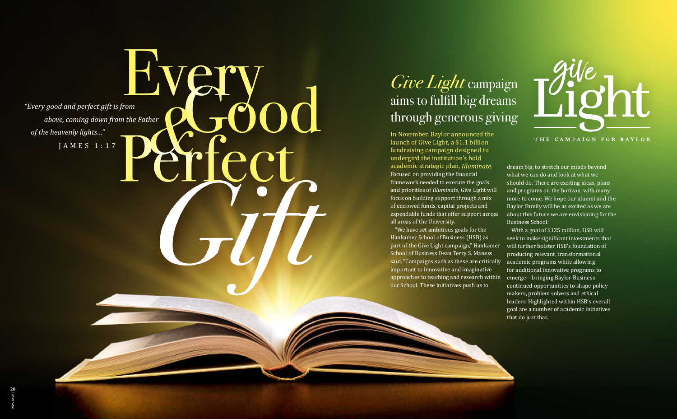*"Every good and perfect gift is from above, coming down from the Father of the heavenly lights…"* & fect



 $T$ 

THE CAMPAIGN FOR BAYLOR

JAMES 1:17

# *Give Light* campaign aims to fulfill big dreams through generous giving

In November, Baylor announced the launch of Give Light, a \$1.1 billion fundraising campaign designed to undergird the institution's bold academic strategic plan, *Illuminate*. Focused on providing the financial framework needed to execute the goals and priorities of *Illuminate*, Give Light will focus on building support through a mix of endowed funds, capital projects and expendable funds that offer support across all areas of the University.

"We have set ambitious goals for the Hankamer School of Business (HSB) as part of the Give Light campaign," Hankamer School of Business Dean Terry S. Maness said. "Campaigns such as these are critically important to innovative and imaginative approaches to teaching and research within our School. These initiatives push us to

dream big, to stretch our minds beyond what we can do and look at what we should do. There are exciting ideas, plans and programs on the horizon, with many more to come. We hope our alumni and the Baylor Family will be as excited as we are about this future we are envisioning for the Business School."

With a goal of \$125 million, HSB will seek to make significant investments that will further bolster HSB's foundation of producing relevant, transformational academic programs while allowing for additional innovative programs to emerge—bringing Baylor Business continued opportunities to shape policy makers, problem solvers and ethical leaders. Highlighted within HSB's overall goal are a number of academic initiatives that do just that.